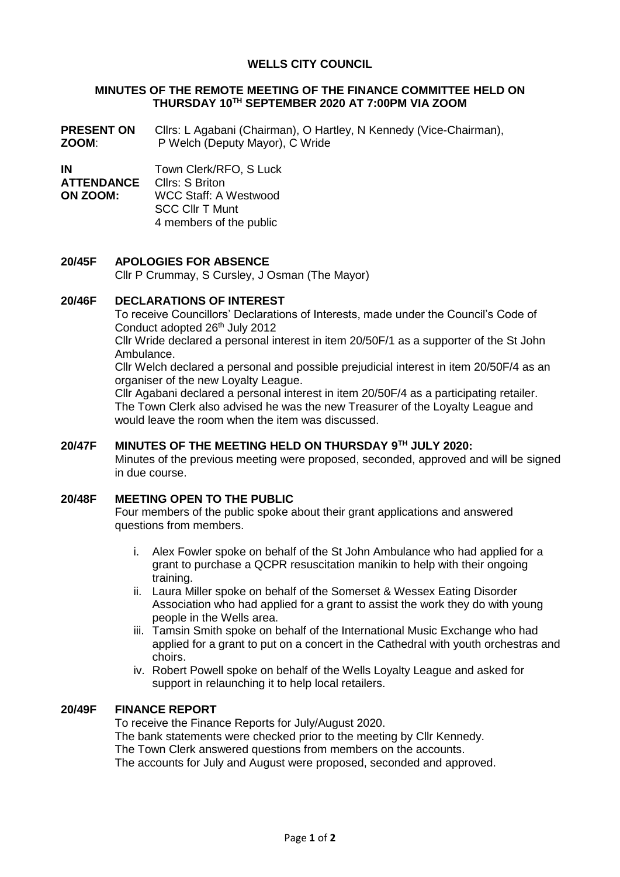# **WELLS CITY COUNCIL**

#### **MINUTES OF THE REMOTE MEETING OF THE FINANCE COMMITTEE HELD ON THURSDAY 10TH SEPTEMBER 2020 AT 7:00PM VIA ZOOM**

**PRESENT ON ZOOM**: Cllrs: L Agabani (Chairman), O Hartley, N Kennedy (Vice-Chairman), P Welch (Deputy Mayor), C Wride

**IN** Town Clerk/RFO, S Luck

**ATTENDANCE ON ZOOM:** Cllrs: S Briton

WCC Staff: A Westwood SCC Cllr T Munt 4 members of the public

## **20/45F APOLOGIES FOR ABSENCE**

Cllr P Crummay, S Cursley, J Osman (The Mayor)

## **20/46F DECLARATIONS OF INTEREST**

To receive Councillors' Declarations of Interests, made under the Council's Code of Conduct adopted 26<sup>th</sup> July 2012

Cllr Wride declared a personal interest in item 20/50F/1 as a supporter of the St John Ambulance.

Cllr Welch declared a personal and possible prejudicial interest in item 20/50F/4 as an organiser of the new Loyalty League.

Cllr Agabani declared a personal interest in item 20/50F/4 as a participating retailer. The Town Clerk also advised he was the new Treasurer of the Loyalty League and would leave the room when the item was discussed.

#### **20/47F MINUTES OF THE MEETING HELD ON THURSDAY 9 TH JULY 2020:**

Minutes of the previous meeting were proposed, seconded, approved and will be signed in due course.

# **20/48F MEETING OPEN TO THE PUBLIC**

Four members of the public spoke about their grant applications and answered questions from members.

- i. Alex Fowler spoke on behalf of the St John Ambulance who had applied for a grant to purchase a QCPR resuscitation manikin to help with their ongoing training.
- ii. Laura Miller spoke on behalf of the Somerset & Wessex Eating Disorder Association who had applied for a grant to assist the work they do with young people in the Wells area.
- iii. Tamsin Smith spoke on behalf of the International Music Exchange who had applied for a grant to put on a concert in the Cathedral with youth orchestras and choirs.
- iv. Robert Powell spoke on behalf of the Wells Loyalty League and asked for support in relaunching it to help local retailers.

#### **20/49F FINANCE REPORT**

To receive the Finance Reports for July/August 2020. The bank statements were checked prior to the meeting by Cllr Kennedy. The Town Clerk answered questions from members on the accounts. The accounts for July and August were proposed, seconded and approved.